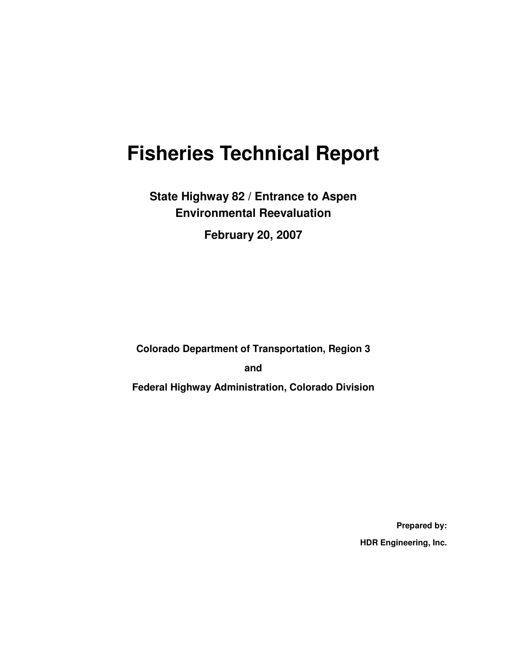# **Fisheries Technical Report**

**State Highway 82 / Entrance to Aspen Environmental Reevaluation** 

**February 20, 2007** 

**Colorado Department of Transportation, Region 3** 

**and** 

**Federal Highway Administration, Colorado Division** 

**Prepared by: HDR Engineering, Inc.**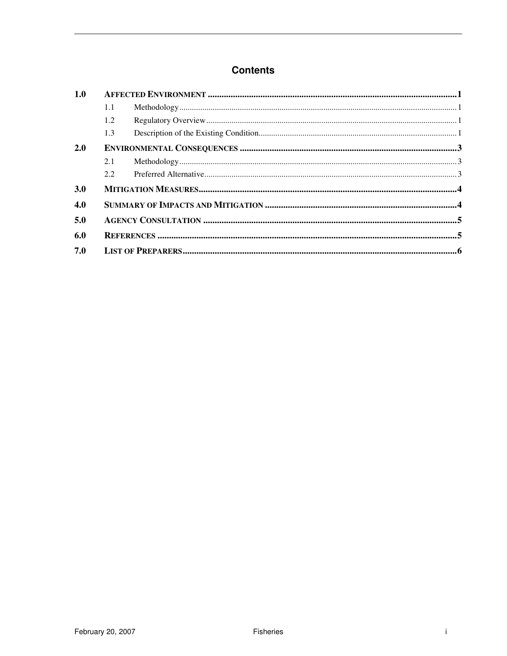#### **Contents**

| 1.0 |     |  |  |  |  |
|-----|-----|--|--|--|--|
|     | 1.1 |  |  |  |  |
|     | 1.2 |  |  |  |  |
|     | 1.3 |  |  |  |  |
| 2.0 |     |  |  |  |  |
|     | 2.1 |  |  |  |  |
|     |     |  |  |  |  |
| 3.0 |     |  |  |  |  |
| 4.0 |     |  |  |  |  |
| 5.0 |     |  |  |  |  |
| 6.0 |     |  |  |  |  |
| 7.0 |     |  |  |  |  |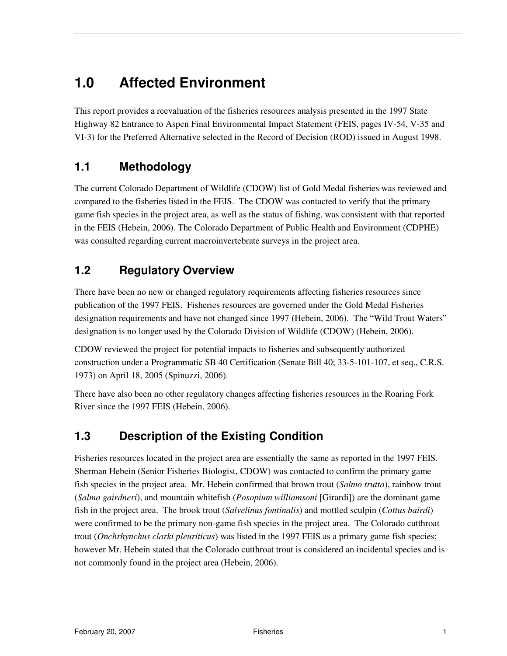## **1.0 Affected Environment**

This report provides a reevaluation of the fisheries resources analysis presented in the 1997 State Highway 82 Entrance to Aspen Final Environmental Impact Statement (FEIS, pages IV-54, V-35 and VI-3) for the Preferred Alternative selected in the Record of Decision (ROD) issued in August 1998.

#### **1.1 Methodology**

The current Colorado Department of Wildlife (CDOW) list of Gold Medal fisheries was reviewed and compared to the fisheries listed in the FEIS. The CDOW was contacted to verify that the primary game fish species in the project area, as well as the status of fishing, was consistent with that reported in the FEIS (Hebein, 2006). The Colorado Department of Public Health and Environment (CDPHE) was consulted regarding current macroinvertebrate surveys in the project area.

### **1.2 Regulatory Overview**

There have been no new or changed regulatory requirements affecting fisheries resources since publication of the 1997 FEIS. Fisheries resources are governed under the Gold Medal Fisheries designation requirements and have not changed since 1997 (Hebein, 2006). The "Wild Trout Waters" designation is no longer used by the Colorado Division of Wildlife (CDOW) (Hebein, 2006).

CDOW reviewed the project for potential impacts to fisheries and subsequently authorized construction under a Programmatic SB 40 Certification (Senate Bill 40; 33-5-101-107, et seq., C.R.S. 1973) on April 18, 2005 (Spinuzzi, 2006).

There have also been no other regulatory changes affecting fisheries resources in the Roaring Fork River since the 1997 FEIS (Hebein, 2006).

### **1.3 Description of the Existing Condition**

Fisheries resources located in the project area are essentially the same as reported in the 1997 FEIS. Sherman Hebein (Senior Fisheries Biologist, CDOW) was contacted to confirm the primary game fish species in the project area. Mr. Hebein confirmed that brown trout (*Salmo trutta*), rainbow trout (*Salmo gairdneri*), and mountain whitefish (*Posopium williamsoni* [Girardi]) are the dominant game fish in the project area. The brook trout (*Salvelinus fontinalis*) and mottled sculpin (*Cottus bairdi*) were confirmed to be the primary non-game fish species in the project area. The Colorado cutthroat trout (*Onchrhynchus clarki pleuriticus*) was listed in the 1997 FEIS as a primary game fish species; however Mr. Hebein stated that the Colorado cutthroat trout is considered an incidental species and is not commonly found in the project area (Hebein, 2006).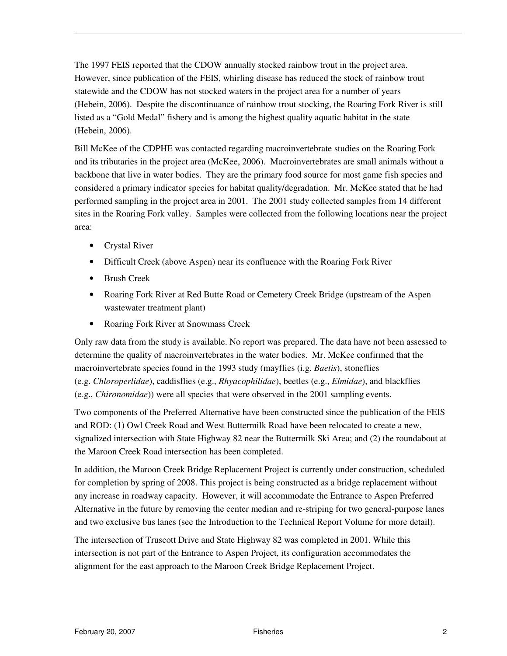The 1997 FEIS reported that the CDOW annually stocked rainbow trout in the project area. However, since publication of the FEIS, whirling disease has reduced the stock of rainbow trout statewide and the CDOW has not stocked waters in the project area for a number of years (Hebein, 2006). Despite the discontinuance of rainbow trout stocking, the Roaring Fork River is still listed as a "Gold Medal" fishery and is among the highest quality aquatic habitat in the state (Hebein, 2006).

Bill McKee of the CDPHE was contacted regarding macroinvertebrate studies on the Roaring Fork and its tributaries in the project area (McKee, 2006). Macroinvertebrates are small animals without a backbone that live in water bodies. They are the primary food source for most game fish species and considered a primary indicator species for habitat quality/degradation. Mr. McKee stated that he had performed sampling in the project area in 2001. The 2001 study collected samples from 14 different sites in the Roaring Fork valley. Samples were collected from the following locations near the project area:

- Crystal River
- Difficult Creek (above Aspen) near its confluence with the Roaring Fork River
- Brush Creek
- Roaring Fork River at Red Butte Road or Cemetery Creek Bridge (upstream of the Aspen wastewater treatment plant)
- Roaring Fork River at Snowmass Creek

Only raw data from the study is available. No report was prepared. The data have not been assessed to determine the quality of macroinvertebrates in the water bodies. Mr. McKee confirmed that the macroinvertebrate species found in the 1993 study (mayflies (i.g. *Baetis*), stoneflies (e.g. *Chloroperlidae*), caddisflies (e.g., *Rhyacophilidae*), beetles (e.g., *Elmidae*), and blackflies (e.g., *Chironomidae*)) were all species that were observed in the 2001 sampling events.

Two components of the Preferred Alternative have been constructed since the publication of the FEIS and ROD: (1) Owl Creek Road and West Buttermilk Road have been relocated to create a new, signalized intersection with State Highway 82 near the Buttermilk Ski Area; and (2) the roundabout at the Maroon Creek Road intersection has been completed.

In addition, the Maroon Creek Bridge Replacement Project is currently under construction, scheduled for completion by spring of 2008. This project is being constructed as a bridge replacement without any increase in roadway capacity. However, it will accommodate the Entrance to Aspen Preferred Alternative in the future by removing the center median and re-striping for two general-purpose lanes and two exclusive bus lanes (see the Introduction to the Technical Report Volume for more detail).

The intersection of Truscott Drive and State Highway 82 was completed in 2001. While this intersection is not part of the Entrance to Aspen Project, its configuration accommodates the alignment for the east approach to the Maroon Creek Bridge Replacement Project.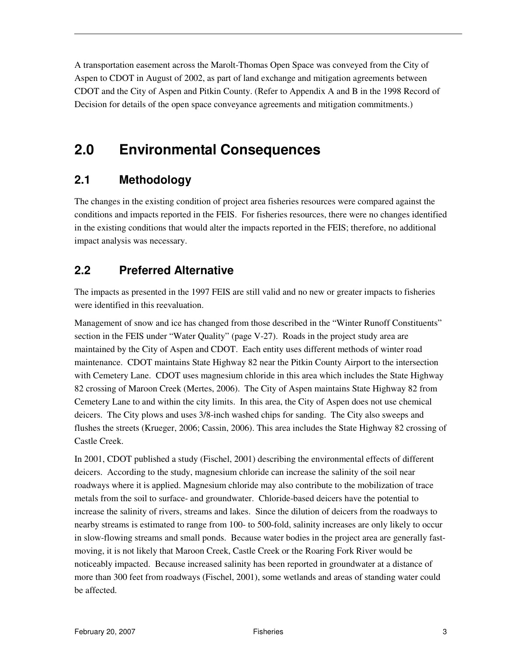A transportation easement across the Marolt-Thomas Open Space was conveyed from the City of Aspen to CDOT in August of 2002, as part of land exchange and mitigation agreements between CDOT and the City of Aspen and Pitkin County. (Refer to Appendix A and B in the 1998 Record of Decision for details of the open space conveyance agreements and mitigation commitments.)

## **2.0 Environmental Consequences**

#### **2.1 Methodology**

The changes in the existing condition of project area fisheries resources were compared against the conditions and impacts reported in the FEIS. For fisheries resources, there were no changes identified in the existing conditions that would alter the impacts reported in the FEIS; therefore, no additional impact analysis was necessary.

### **2.2 Preferred Alternative**

The impacts as presented in the 1997 FEIS are still valid and no new or greater impacts to fisheries were identified in this reevaluation.

Management of snow and ice has changed from those described in the "Winter Runoff Constituents" section in the FEIS under "Water Quality" (page V-27). Roads in the project study area are maintained by the City of Aspen and CDOT. Each entity uses different methods of winter road maintenance. CDOT maintains State Highway 82 near the Pitkin County Airport to the intersection with Cemetery Lane. CDOT uses magnesium chloride in this area which includes the State Highway 82 crossing of Maroon Creek (Mertes, 2006). The City of Aspen maintains State Highway 82 from Cemetery Lane to and within the city limits. In this area, the City of Aspen does not use chemical deicers. The City plows and uses 3/8-inch washed chips for sanding. The City also sweeps and flushes the streets (Krueger, 2006; Cassin, 2006). This area includes the State Highway 82 crossing of Castle Creek.

In 2001, CDOT published a study (Fischel, 2001) describing the environmental effects of different deicers. According to the study, magnesium chloride can increase the salinity of the soil near roadways where it is applied. Magnesium chloride may also contribute to the mobilization of trace metals from the soil to surface- and groundwater. Chloride-based deicers have the potential to increase the salinity of rivers, streams and lakes. Since the dilution of deicers from the roadways to nearby streams is estimated to range from 100- to 500-fold, salinity increases are only likely to occur in slow-flowing streams and small ponds. Because water bodies in the project area are generally fastmoving, it is not likely that Maroon Creek, Castle Creek or the Roaring Fork River would be noticeably impacted. Because increased salinity has been reported in groundwater at a distance of more than 300 feet from roadways (Fischel, 2001), some wetlands and areas of standing water could be affected.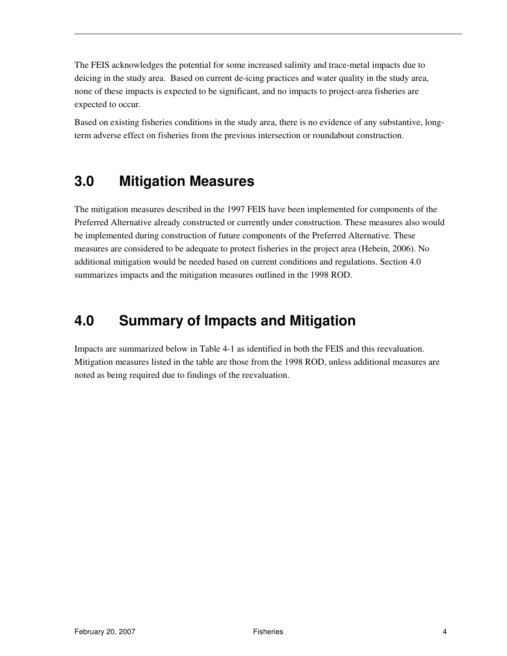The FEIS acknowledges the potential for some increased salinity and trace-metal impacts due to deicing in the study area. Based on current de-icing practices and water quality in the study area, none of these impacts is expected to be significant, and no impacts to project-area fisheries are expected to occur.

Based on existing fisheries conditions in the study area, there is no evidence of any substantive, longterm adverse effect on fisheries from the previous intersection or roundabout construction.

## **3.0 Mitigation Measures**

The mitigation measures described in the 1997 FEIS have been implemented for components of the Preferred Alternative already constructed or currently under construction. These measures also would be implemented during construction of future components of the Preferred Alternative. These measures are considered to be adequate to protect fisheries in the project area (Hebein, 2006). No additional mitigation would be needed based on current conditions and regulations. Section 4.0 summarizes impacts and the mitigation measures outlined in the 1998 ROD.

## **4.0 Summary of Impacts and Mitigation**

Impacts are summarized below in Table 4-1 as identified in both the FEIS and this reevaluation. Mitigation measures listed in the table are those from the 1998 ROD, unless additional measures are noted as being required due to findings of the reevaluation.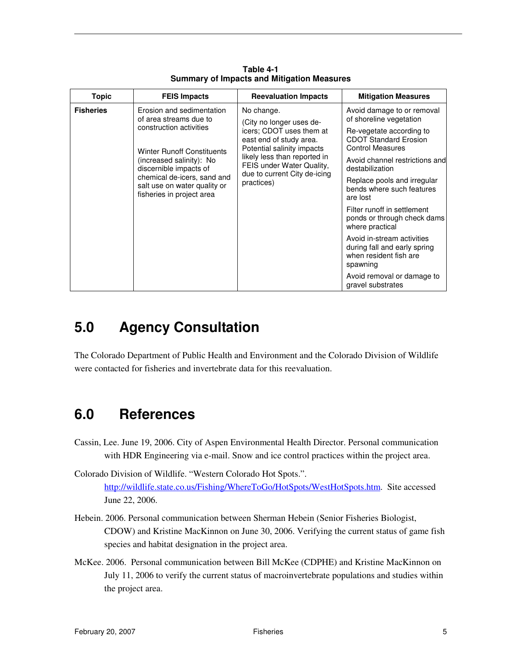| <b>Topic</b>     | <b>FEIS Impacts</b>                                                                                                                                                                                            | <b>Reevaluation Impacts</b>                                                                                                                                                                                                            | <b>Mitigation Measures</b>                                                                       |
|------------------|----------------------------------------------------------------------------------------------------------------------------------------------------------------------------------------------------------------|----------------------------------------------------------------------------------------------------------------------------------------------------------------------------------------------------------------------------------------|--------------------------------------------------------------------------------------------------|
| <b>Fisheries</b> | Erosion and sedimentation<br>of area streams due to                                                                                                                                                            | No change.<br>(City no longer uses de-<br>icers; CDOT uses them at<br>east end of study area.<br>Potential salinity impacts<br>likely less than reported in<br>FEIS under Water Quality,<br>due to current City de-icing<br>practices) | Avoid damage to or removal<br>of shoreline vegetation                                            |
|                  | construction activities<br><b>Winter Runoff Constituents</b><br>(increased salinity): No<br>discernible impacts of<br>chemical de-icers, sand and<br>salt use on water quality or<br>fisheries in project area |                                                                                                                                                                                                                                        | Re-vegetate according to<br><b>CDOT Standard Erosion</b><br><b>Control Measures</b>              |
|                  |                                                                                                                                                                                                                |                                                                                                                                                                                                                                        | Avoid channel restrictions and<br>destabilization                                                |
|                  |                                                                                                                                                                                                                |                                                                                                                                                                                                                                        | Replace pools and irregular<br>bends where such features<br>are lost                             |
|                  |                                                                                                                                                                                                                |                                                                                                                                                                                                                                        | Filter runoff in settlement<br>ponds or through check dams<br>where practical                    |
|                  |                                                                                                                                                                                                                |                                                                                                                                                                                                                                        | Avoid in-stream activities<br>during fall and early spring<br>when resident fish are<br>spawning |
|                  |                                                                                                                                                                                                                |                                                                                                                                                                                                                                        | Avoid removal or damage to<br>gravel substrates                                                  |

**Table 4-1 Summary of Impacts and Mitigation Measures** 

## **5.0 Agency Consultation**

The Colorado Department of Public Health and Environment and the Colorado Division of Wildlife were contacted for fisheries and invertebrate data for this reevaluation.

## **6.0 References**

Cassin, Lee. June 19, 2006. City of Aspen Environmental Health Director. Personal communication with HDR Engineering via e-mail. Snow and ice control practices within the project area.

Colorado Division of Wildlife. "Western Colorado Hot Spots.". http://wildlife.state.co.us/Fishing/WhereToGo/HotSpots/WestHotSpots.htm. Site accessed June 22, 2006.

- Hebein. 2006. Personal communication between Sherman Hebein (Senior Fisheries Biologist, CDOW) and Kristine MacKinnon on June 30, 2006. Verifying the current status of game fish species and habitat designation in the project area.
- McKee. 2006. Personal communication between Bill McKee (CDPHE) and Kristine MacKinnon on July 11, 2006 to verify the current status of macroinvertebrate populations and studies within the project area.